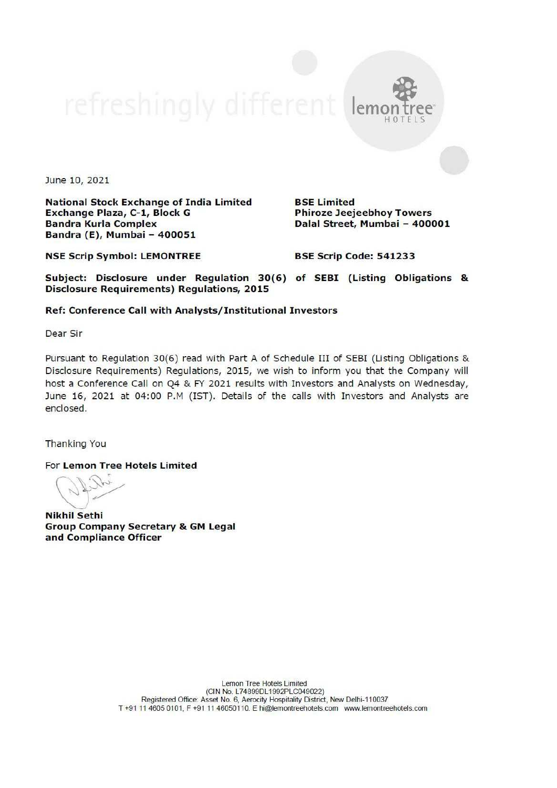June 10, 2021

National Stock Exchange of India Limited BSE Limited Exchange Plaza, C-1, Block G Phiroze Jeejeebhoy Towers Bandra Kurla Complex **Dalal Street, Mumbai - 400001** Bandra (E), Mumbai - 400051

lem

NSE Scrip Symbol: LEMONTREE BSE Scrip Code: 541233

Subject: Disclosure under Regulation 30(6) of SEBI (Listing Obligations & Disclosure Requirements) Regulations, 2015

## Ref: Conference Call with Analysts/ Institutional Investors

Dear Sir

Pursuant to Regulation 30(6) read with Part A of Schedule III of SEBI (Listing Obligations & Disclosure Requirements) Regulations, 2015, we wish to inform you that the Company will host a Conference Call on Q4 & FY 2021 results with Investors and Analysts on Wednesday, June 16, 2021 at 04:00 P.M (IST). Details of the calls with Investors and Analysts are enclosed.

Thanking You

For Lemon Tree Hotels Limited

Nikhil Sethi Group Company Secretary & GM Legal and Compliance Officer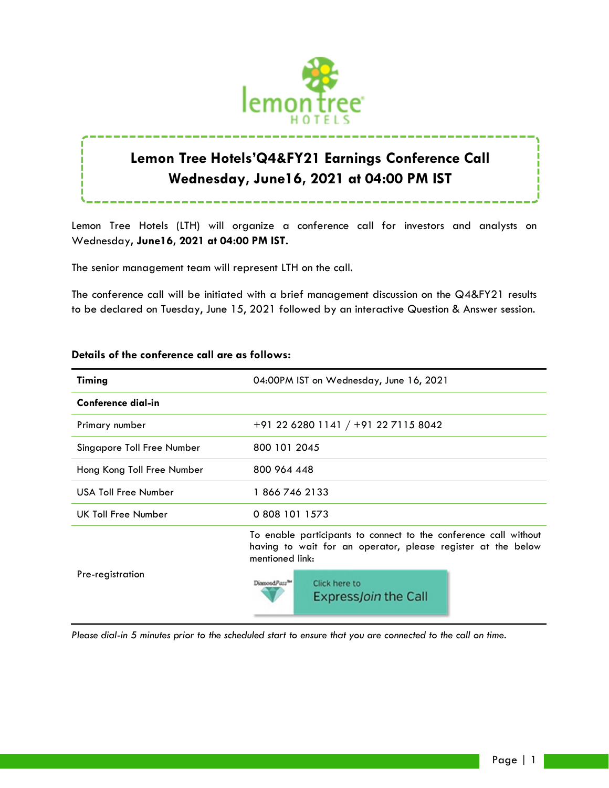

# **Lemon Tree Hotels'Q4&FY21 Earnings Conference Call Wednesday, June16, 2021 at 04:00 PM IST**

Lemon Tree Hotels (LTH) will organize a conference call for investors and analysts on Wednesday**, June16, 2021 at 04:00 PM IST.**

The senior management team will represent LTH on the call.

The conference call will be initiated with a brief management discussion on the Q4&FY21 results to be declared on Tuesday, June 15, 2021 followed by an interactive Question & Answer session.

| <b>Timing</b>               | 04:00PM IST on Wednesday, June 16, 2021                                                                                                             |
|-----------------------------|-----------------------------------------------------------------------------------------------------------------------------------------------------|
| Conference dial-in          |                                                                                                                                                     |
| Primary number              | +91 22 6280 1141 / +91 22 7115 8042                                                                                                                 |
| Singapore Toll Free Number  | 800 101 2045                                                                                                                                        |
| Hong Kong Toll Free Number  | 800 964 448                                                                                                                                         |
| <b>USA Toll Free Number</b> | 18667462133                                                                                                                                         |
| UK Toll Free Number         | 0 808 101 1573                                                                                                                                      |
| Pre-registration            | To enable participants to connect to the conference call without<br>having to wait for an operator, please register at the below<br>mentioned link: |
|                             | DiamondPass <sup>TH</sup><br>Click here to<br><b>ExpressJoin the Call</b>                                                                           |

## **Details of the conference call are as follows:**

*Please dial-in 5 minutes prior to the scheduled start to ensure that you are connected to the call on time.*